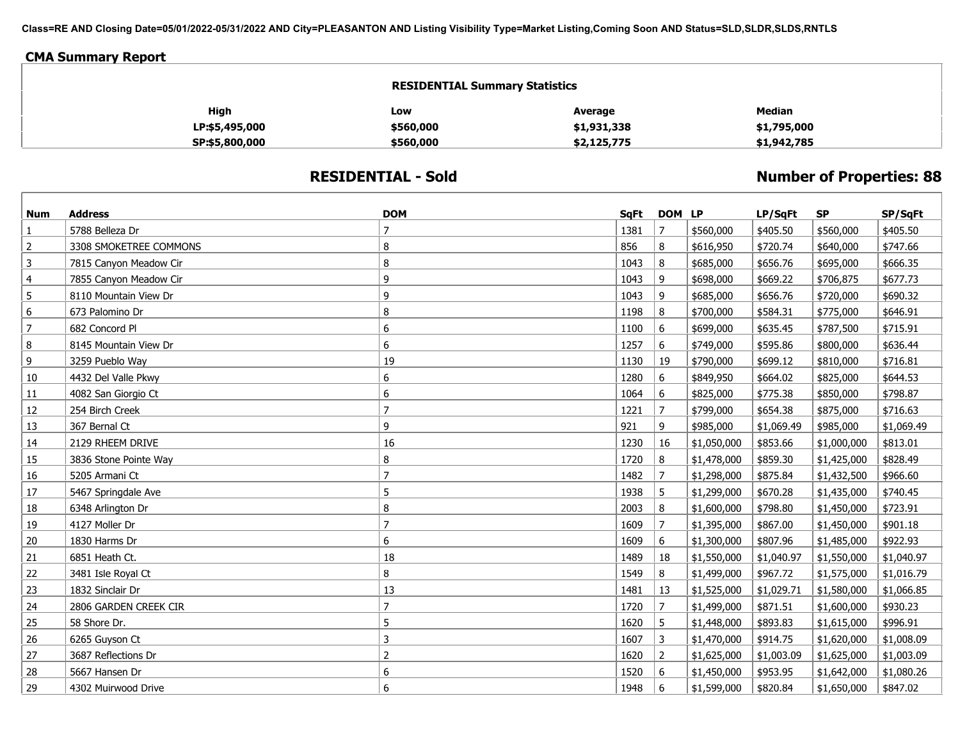**Class=RE AND Closing Date=05/01/2022-05/31/2022 AND City=PLEASANTON AND Listing Visibility Type=Market Listing,Coming Soon AND Status=SLD,SLDR,SLDS,RNTLS**

## **CMA Summary Report**

| <b>RESIDENTIAL Summary Statistics</b> |           |             |               |  |  |  |  |
|---------------------------------------|-----------|-------------|---------------|--|--|--|--|
| High                                  | Low       | Average     | <b>Median</b> |  |  |  |  |
| LP:\$5,495,000                        | \$560,000 | \$1,931,338 | \$1,795,000   |  |  |  |  |
| SP:\$5,800,000                        | \$560,000 | \$2,125,775 | \$1,942,785   |  |  |  |  |

## **RESIDENTIAL - Sold**

## **Number of Properties: 88**

| Num            | <b>Address</b>         | <b>DOM</b>     | SqFt | DOM LP         |             | LP/SqFt    | <b>SP</b>   | SP/SqFt    |
|----------------|------------------------|----------------|------|----------------|-------------|------------|-------------|------------|
| 1              | 5788 Belleza Dr        | $\overline{7}$ | 1381 | $\overline{7}$ | \$560,000   | \$405.50   | \$560,000   | \$405.50   |
| $\overline{2}$ | 3308 SMOKETREE COMMONS | 8              | 856  | 8              | \$616,950   | \$720.74   | \$640,000   | \$747.66   |
| 3              | 7815 Canyon Meadow Cir | 8              | 1043 | 8              | \$685,000   | \$656.76   | \$695,000   | \$666.35   |
| $\overline{4}$ | 7855 Canyon Meadow Cir | 9              | 1043 | 9              | \$698,000   | \$669.22   | \$706,875   | \$677.73   |
| 5              | 8110 Mountain View Dr  | 9              | 1043 | 9              | \$685,000   | \$656.76   | \$720,000   | \$690.32   |
| 6              | 673 Palomino Dr        | 8              | 1198 | 8              | \$700,000   | \$584.31   | \$775,000   | \$646.91   |
| $\overline{7}$ | 682 Concord Pl         | 6              | 1100 | 6              | \$699,000   | \$635.45   | \$787,500   | \$715.91   |
| 8              | 8145 Mountain View Dr  | 6              | 1257 | 6              | \$749,000   | \$595.86   | \$800,000   | \$636.44   |
| 9              | 3259 Pueblo Way        | 19             | 1130 | 19             | \$790,000   | \$699.12   | \$810,000   | \$716.81   |
| 10             | 4432 Del Valle Pkwy    | 6              | 1280 | 6              | \$849,950   | \$664.02   | \$825,000   | \$644.53   |
| 11             | 4082 San Giorgio Ct    | 6              | 1064 | 6              | \$825,000   | \$775.38   | \$850,000   | \$798.87   |
| 12             | 254 Birch Creek        | $\overline{7}$ | 1221 | $\overline{7}$ | \$799,000   | \$654.38   | \$875,000   | \$716.63   |
| 13             | 367 Bernal Ct          | 9              | 921  | 9              | \$985,000   | \$1,069.49 | \$985,000   | \$1,069.49 |
| 14             | 2129 RHEEM DRIVE       | 16             | 1230 | 16             | \$1,050,000 | \$853.66   | \$1,000,000 | \$813.01   |
| 15             | 3836 Stone Pointe Way  | 8              | 1720 | 8              | \$1,478,000 | \$859.30   | \$1,425,000 | \$828.49   |
| 16             | 5205 Armani Ct         | $\overline{7}$ | 1482 | $\overline{7}$ | \$1,298,000 | \$875.84   | \$1,432,500 | \$966.60   |
| 17             | 5467 Springdale Ave    | 5              | 1938 | 5              | \$1,299,000 | \$670.28   | \$1,435,000 | \$740.45   |
| 18             | 6348 Arlington Dr      | 8              | 2003 | 8              | \$1,600,000 | \$798.80   | \$1,450,000 | \$723.91   |
| 19             | 4127 Moller Dr         | $\overline{7}$ | 1609 | $\overline{7}$ | \$1,395,000 | \$867.00   | \$1,450,000 | \$901.18   |
| 20             | 1830 Harms Dr          | 6              | 1609 | 6              | \$1,300,000 | \$807.96   | \$1,485,000 | \$922.93   |
| 21             | 6851 Heath Ct.         | 18             | 1489 | 18             | \$1,550,000 | \$1,040.97 | \$1,550,000 | \$1,040.97 |
| 22             | 3481 Isle Royal Ct     | 8              | 1549 | 8              | \$1,499,000 | \$967.72   | \$1,575,000 | \$1,016.79 |
| 23             | 1832 Sinclair Dr       | 13             | 1481 | 13             | \$1,525,000 | \$1,029.71 | \$1,580,000 | \$1,066.85 |
| 24             | 2806 GARDEN CREEK CIR  | $\overline{7}$ | 1720 | $\overline{7}$ | \$1,499,000 | \$871.51   | \$1,600,000 | \$930.23   |
| 25             | 58 Shore Dr.           | 5              | 1620 | 5              | \$1,448,000 | \$893.83   | \$1,615,000 | \$996.91   |
| 26             | 6265 Guyson Ct         | 3              | 1607 | $\overline{3}$ | \$1,470,000 | \$914.75   | \$1,620,000 | \$1,008.09 |
| 27             | 3687 Reflections Dr    | $\overline{2}$ | 1620 | $\overline{2}$ | \$1,625,000 | \$1,003.09 | \$1,625,000 | \$1,003.09 |
| 28             | 5667 Hansen Dr         | 6              | 1520 | 6              | \$1,450,000 | \$953.95   | \$1,642,000 | \$1,080.26 |
| 29             | 4302 Muirwood Drive    | 6              | 1948 | 6              | \$1,599,000 | \$820.84   | \$1,650,000 | \$847.02   |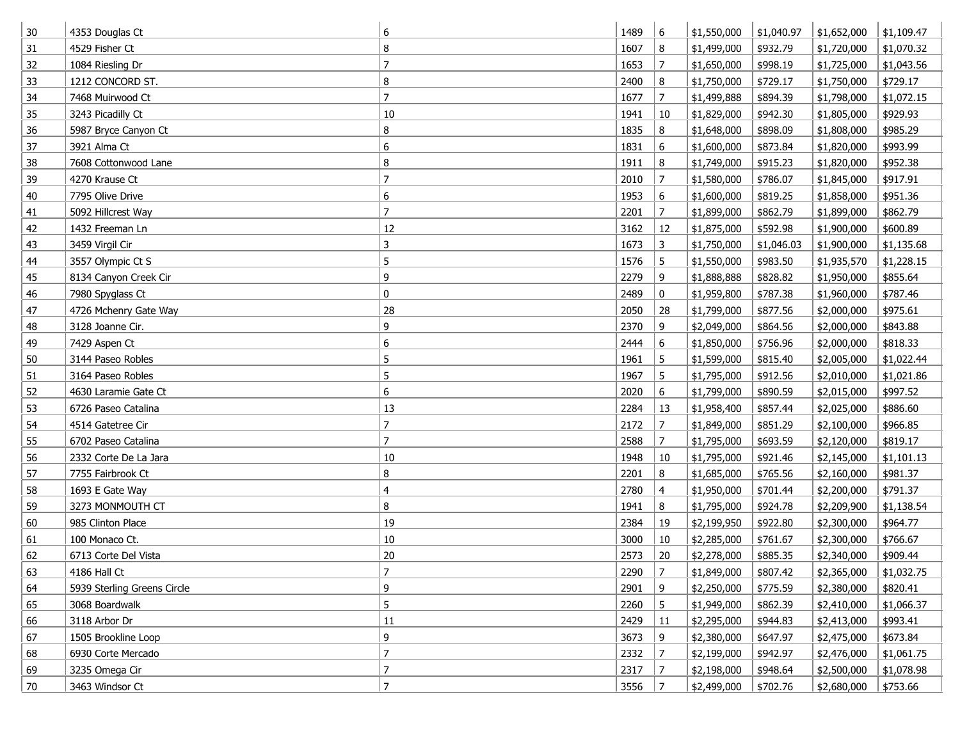| 30 | 4353 Douglas Ct             | 6              | 1489 | 6              | \$1,550,000 | \$1,040.97 | \$1,652,000 | \$1,109.47 |
|----|-----------------------------|----------------|------|----------------|-------------|------------|-------------|------------|
| 31 | 4529 Fisher Ct              | 8              | 1607 | 8              | \$1,499,000 | \$932.79   | \$1,720,000 | \$1,070.32 |
| 32 | 1084 Riesling Dr            | $\overline{7}$ | 1653 | $\overline{7}$ | \$1,650,000 | \$998.19   | \$1,725,000 | \$1,043.56 |
| 33 | 1212 CONCORD ST.            | 8              | 2400 | 8              | \$1,750,000 | \$729.17   | \$1,750,000 | \$729.17   |
| 34 | 7468 Muirwood Ct            | $\overline{7}$ | 1677 | $\overline{7}$ | \$1,499,888 | \$894.39   | \$1,798,000 | \$1,072.15 |
| 35 | 3243 Picadilly Ct           | 10             | 1941 | 10             | \$1,829,000 | \$942.30   | \$1,805,000 | \$929.93   |
| 36 | 5987 Bryce Canyon Ct        | 8              | 1835 | 8              | \$1,648,000 | \$898.09   | \$1,808,000 | \$985.29   |
| 37 | 3921 Alma Ct                | 6              | 1831 | 6              | \$1,600,000 | \$873.84   | \$1,820,000 | \$993.99   |
| 38 | 7608 Cottonwood Lane        | 8              | 1911 | 8              | \$1,749,000 | \$915.23   | \$1,820,000 | \$952.38   |
| 39 | 4270 Krause Ct              | 7              | 2010 | $\overline{7}$ | \$1,580,000 | \$786.07   | \$1,845,000 | \$917.91   |
| 40 | 7795 Olive Drive            | 6              | 1953 | 6              | \$1,600,000 | \$819.25   | \$1,858,000 | \$951.36   |
| 41 | 5092 Hillcrest Way          | $\overline{7}$ | 2201 | 7              | \$1,899,000 | \$862.79   | \$1,899,000 | \$862.79   |
| 42 | 1432 Freeman Ln             | 12             | 3162 | 12             | \$1,875,000 | \$592.98   | \$1,900,000 | \$600.89   |
| 43 | 3459 Virgil Cir             | 3              | 1673 | 3              | \$1,750,000 | \$1,046.03 | \$1,900,000 | \$1,135.68 |
| 44 | 3557 Olympic Ct S           | 5              | 1576 | 5              | \$1,550,000 | \$983.50   | \$1,935,570 | \$1,228.15 |
| 45 | 8134 Canyon Creek Cir       | 9              | 2279 | 9              | \$1,888,888 | \$828.82   | \$1,950,000 | \$855.64   |
| 46 | 7980 Spyglass Ct            | 0              | 2489 | 0              | \$1,959,800 | \$787.38   | \$1,960,000 | \$787.46   |
| 47 | 4726 Mchenry Gate Way       | 28             | 2050 | 28             | \$1,799,000 | \$877.56   | \$2,000,000 | \$975.61   |
| 48 | 3128 Joanne Cir.            | 9              | 2370 | 9              | \$2,049,000 | \$864.56   | \$2,000,000 | \$843.88   |
| 49 | 7429 Aspen Ct               | 6              | 2444 | 6              | \$1,850,000 | \$756.96   | \$2,000,000 | \$818.33   |
| 50 | 3144 Paseo Robles           | 5              | 1961 | 5              | \$1,599,000 | \$815.40   | \$2,005,000 | \$1,022.44 |
| 51 | 3164 Paseo Robles           | 5              | 1967 | 5              | \$1,795,000 | \$912.56   | \$2,010,000 | \$1,021.86 |
| 52 | 4630 Laramie Gate Ct        | 6              | 2020 | 6              | \$1,799,000 | \$890.59   | \$2,015,000 | \$997.52   |
| 53 | 6726 Paseo Catalina         | 13             | 2284 | 13             | \$1,958,400 | \$857.44   | \$2,025,000 | \$886.60   |
| 54 | 4514 Gatetree Cir           | $\overline{7}$ | 2172 | $\overline{7}$ | \$1,849,000 | \$851.29   | \$2,100,000 | \$966.85   |
| 55 | 6702 Paseo Catalina         | 7              | 2588 | $\overline{7}$ | \$1,795,000 | \$693.59   | \$2,120,000 | \$819.17   |
| 56 | 2332 Corte De La Jara       | 10             | 1948 | 10             | \$1,795,000 | \$921.46   | \$2,145,000 | \$1,101.13 |
| 57 | 7755 Fairbrook Ct           | 8              | 2201 | 8              | \$1,685,000 | \$765.56   | \$2,160,000 | \$981.37   |
| 58 | 1693 E Gate Way             | 4              | 2780 | 4              | \$1,950,000 | \$701.44   | \$2,200,000 | \$791.37   |
| 59 | 3273 MONMOUTH CT            | 8              | 1941 | 8              | \$1,795,000 | \$924.78   | \$2,209,900 | \$1,138.54 |
| 60 | 985 Clinton Place           | 19             | 2384 | 19             | \$2,199,950 | \$922.80   | \$2,300,000 | \$964.77   |
| 61 | 100 Monaco Ct.              | $10\,$         | 3000 | 10             | \$2,285,000 | \$761.67   | \$2,300,000 | \$766.67   |
| 62 | 6713 Corte Del Vista        | 20             | 2573 | 20             | \$2,278,000 | \$885.35   | \$2,340,000 | \$909.44   |
| 63 | 4186 Hall Ct                | 7              | 2290 | 7              | \$1,849,000 | \$807.42   | \$2,365,000 | \$1,032.75 |
| 64 | 5939 Sterling Greens Circle | 9              | 2901 | 9              | \$2,250,000 | \$775.59   | \$2,380,000 | \$820.41   |
| 65 | 3068 Boardwalk              | 5              | 2260 | 5              | \$1,949,000 | \$862.39   | \$2,410,000 | \$1,066.37 |
| 66 | 3118 Arbor Dr               | $11\,$         | 2429 | 11             | \$2,295,000 | \$944.83   | \$2,413,000 | \$993.41   |
| 67 | 1505 Brookline Loop         | 9              | 3673 | 9              | \$2,380,000 | \$647.97   | \$2,475,000 | \$673.84   |
| 68 | 6930 Corte Mercado          | $\overline{7}$ | 2332 | $\overline{7}$ | \$2,199,000 | \$942.97   | \$2,476,000 | \$1,061.75 |
| 69 | 3235 Omega Cir              | $\overline{7}$ | 2317 | 7              | \$2,198,000 | \$948.64   | \$2,500,000 | \$1,078.98 |
| 70 | 3463 Windsor Ct             | $\overline{7}$ | 3556 | 7              | \$2,499,000 | \$702.76   | \$2,680,000 | \$753.66   |